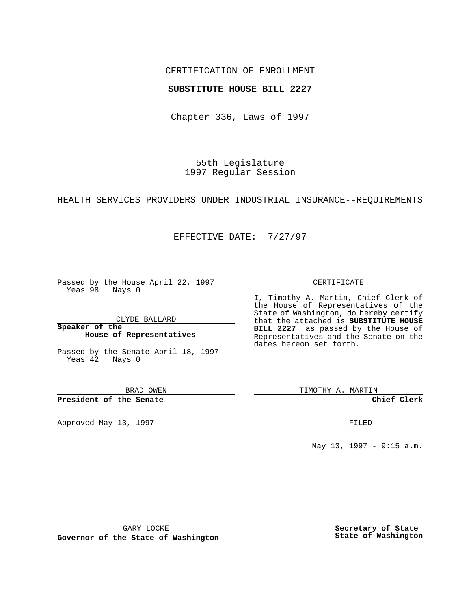## CERTIFICATION OF ENROLLMENT

### **SUBSTITUTE HOUSE BILL 2227**

Chapter 336, Laws of 1997

55th Legislature 1997 Regular Session

HEALTH SERVICES PROVIDERS UNDER INDUSTRIAL INSURANCE--REQUIREMENTS

# EFFECTIVE DATE: 7/27/97

Passed by the House April 22, 1997 Yeas 98 Nays 0

CLYDE BALLARD

**Speaker of the House of Representatives**

Passed by the Senate April 18, 1997 Yeas 42 Nays 0

BRAD OWEN

**President of the Senate**

Approved May 13, 1997 **FILED** 

#### CERTIFICATE

I, Timothy A. Martin, Chief Clerk of the House of Representatives of the State of Washington, do hereby certify that the attached is **SUBSTITUTE HOUSE BILL 2227** as passed by the House of Representatives and the Senate on the dates hereon set forth.

TIMOTHY A. MARTIN

**Chief Clerk**

May 13, 1997 - 9:15 a.m.

GARY LOCKE

**Governor of the State of Washington**

**Secretary of State State of Washington**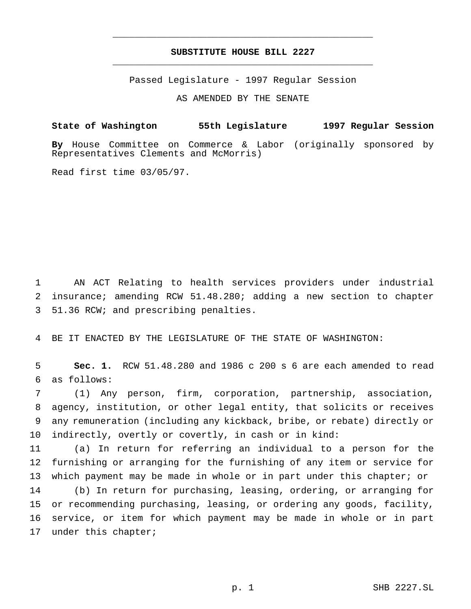# **SUBSTITUTE HOUSE BILL 2227** \_\_\_\_\_\_\_\_\_\_\_\_\_\_\_\_\_\_\_\_\_\_\_\_\_\_\_\_\_\_\_\_\_\_\_\_\_\_\_\_\_\_\_\_\_\_\_

\_\_\_\_\_\_\_\_\_\_\_\_\_\_\_\_\_\_\_\_\_\_\_\_\_\_\_\_\_\_\_\_\_\_\_\_\_\_\_\_\_\_\_\_\_\_\_

Passed Legislature - 1997 Regular Session

AS AMENDED BY THE SENATE

**State of Washington 55th Legislature 1997 Regular Session**

**By** House Committee on Commerce & Labor (originally sponsored by Representatives Clements and McMorris)

Read first time 03/05/97.

 AN ACT Relating to health services providers under industrial insurance; amending RCW 51.48.280; adding a new section to chapter 51.36 RCW; and prescribing penalties.

BE IT ENACTED BY THE LEGISLATURE OF THE STATE OF WASHINGTON:

 **Sec. 1.** RCW 51.48.280 and 1986 c 200 s 6 are each amended to read as follows:

 (1) Any person, firm, corporation, partnership, association, agency, institution, or other legal entity, that solicits or receives any remuneration (including any kickback, bribe, or rebate) directly or indirectly, overtly or covertly, in cash or in kind:

 (a) In return for referring an individual to a person for the furnishing or arranging for the furnishing of any item or service for which payment may be made in whole or in part under this chapter; or (b) In return for purchasing, leasing, ordering, or arranging for or recommending purchasing, leasing, or ordering any goods, facility, service, or item for which payment may be made in whole or in part under this chapter;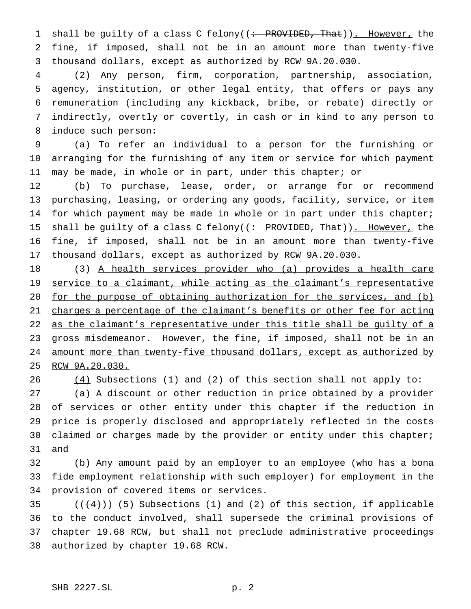1 shall be guilty of a class C felony((: PROVIDED, That)). However, the fine, if imposed, shall not be in an amount more than twenty-five thousand dollars, except as authorized by RCW 9A.20.030.

 (2) Any person, firm, corporation, partnership, association, agency, institution, or other legal entity, that offers or pays any remuneration (including any kickback, bribe, or rebate) directly or indirectly, overtly or covertly, in cash or in kind to any person to induce such person:

 (a) To refer an individual to a person for the furnishing or arranging for the furnishing of any item or service for which payment may be made, in whole or in part, under this chapter; or

 (b) To purchase, lease, order, or arrange for or recommend purchasing, leasing, or ordering any goods, facility, service, or item for which payment may be made in whole or in part under this chapter; 15 shall be guilty of a class C felony((: PROVIDED, That)). However, the fine, if imposed, shall not be in an amount more than twenty-five thousand dollars, except as authorized by RCW 9A.20.030.

 (3) A health services provider who (a) provides a health care 19 service to a claimant, while acting as the claimant's representative for the purpose of obtaining authorization for the services, and (b) 21 charges a percentage of the claimant's benefits or other fee for acting 22 as the claimant's representative under this title shall be guilty of a 23 gross misdemeanor. However, the fine, if imposed, shall not be in an amount more than twenty-five thousand dollars, except as authorized by RCW 9A.20.030.

26 (4) Subsections (1) and (2) of this section shall not apply to:

 (a) A discount or other reduction in price obtained by a provider of services or other entity under this chapter if the reduction in price is properly disclosed and appropriately reflected in the costs 30 claimed or charges made by the provider or entity under this chapter; and

 (b) Any amount paid by an employer to an employee (who has a bona fide employment relationship with such employer) for employment in the provision of covered items or services.

 $((+4))$   $(5)$  Subsections (1) and (2) of this section, if applicable to the conduct involved, shall supersede the criminal provisions of chapter 19.68 RCW, but shall not preclude administrative proceedings authorized by chapter 19.68 RCW.